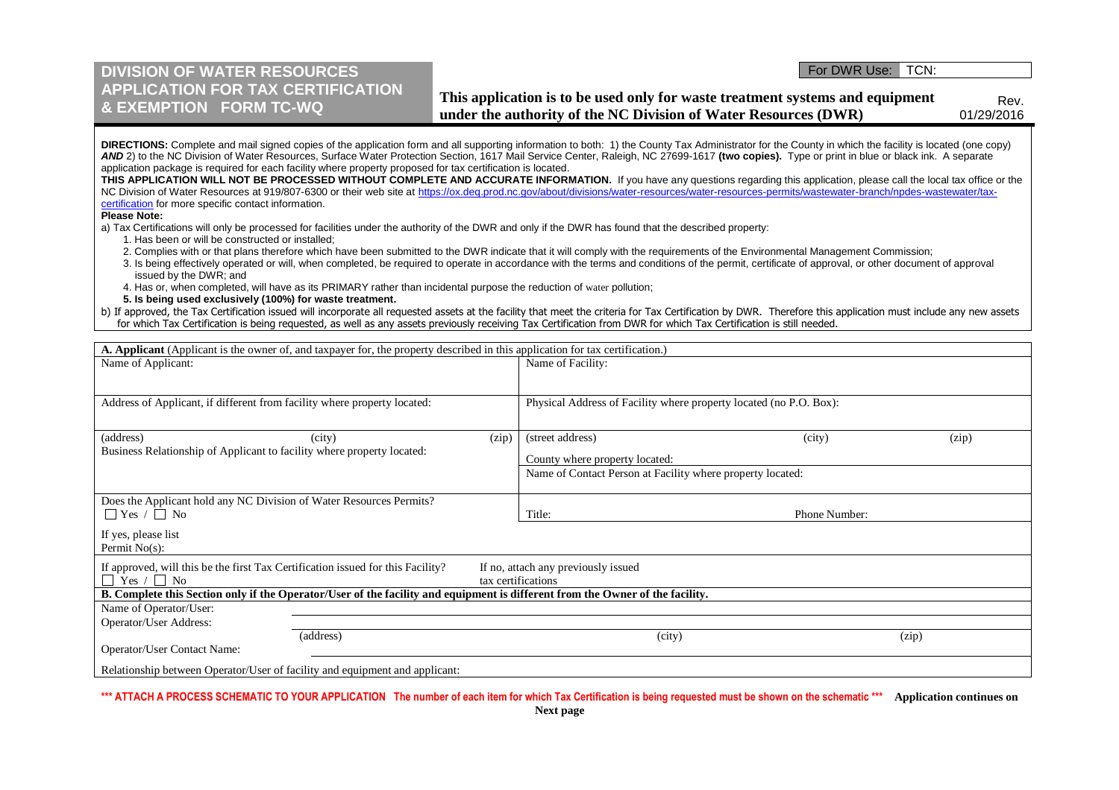## **DIVISION OF WATER RESOURCES APPLICATION FOR TAX CERTIFICATION & EXEMPTION FORM TC-WQ**

## For DWR Use: TCN:

**This application is to be used only for waste treatment systems and equipment under the authority of the NC Division of Water Resources (DWR)**

Rev. 01/29/2016

| DIRECTIONS: Complete and mail signed copies of the application form and all supporting information to both: 1) the County Tax Administrator for the County in which the facility is located (one copy) |
|--------------------------------------------------------------------------------------------------------------------------------------------------------------------------------------------------------|
| AND 2) to the NC Division of Water Resources, Surface Water Protection Section, 1617 Mail Service Center, Raleigh, NC 27699-1617 (two copies). Type or print in blue or black ink. A separate          |
| application package is required for each facility where property proposed for tax certification is located.                                                                                            |

THIS APPLICATION WILL NOT BE PROCESSED WITHOUT COMPLETE AND ACCURATE INFORMATION. If you have any questions regarding this application, please call the local tax office or the NC Division of Water Resources at 919/807-6300 or their web site at https://ox.deq.prod.nc.gov/about/divisions/water-resources/water-resources-permits/wastewater-branch/npdes-wastewater/taxcertification for more specific contact information.

**Please Note:**

a) Tax Certifications will only be processed for facilities under the authority of the DWR and only if the DWR has found that the described property:

1. Has been or will be constructed or installed;

2. Complies with or that plans therefore which have been submitted to the DWR indicate that it will comply with the requirements of the Environmental Management Commission;

- 3. Is being effectively operated or will, when completed, be required to operate in accordance with the terms and conditions of the permit, certificate of approval, or other document of approval issued by the DWR; and
- 4. Has or, when completed, will have as its PRIMARY rather than incidental purpose the reduction of water pollution;
- **5. Is being used exclusively (100%) for waste treatment.**

| b) If approved, the Tax Certification issued will incorporate all requested assets at the facility that meet the criteria for Tax Certification by DWR. Therefore this application must include any new assets |  |
|----------------------------------------------------------------------------------------------------------------------------------------------------------------------------------------------------------------|--|
| for which Tax Certification is being requested, as well as any assets previously receiving Tax Certification from DWR for which Tax Certification is still needed.                                             |  |

| A. Applicant (Applicant is the owner of, and taxpayer for, the property described in this application for tax certification.) |                                                                    |               |       |  |
|-------------------------------------------------------------------------------------------------------------------------------|--------------------------------------------------------------------|---------------|-------|--|
| Name of Applicant:                                                                                                            | Name of Facility:                                                  |               |       |  |
|                                                                                                                               |                                                                    |               |       |  |
| Address of Applicant, if different from facility where property located:                                                      | Physical Address of Facility where property located (no P.O. Box): |               |       |  |
|                                                                                                                               |                                                                    |               |       |  |
|                                                                                                                               |                                                                    |               |       |  |
| (address)<br>(zip)<br>(city)                                                                                                  | (street address)                                                   | (city)        | (zip) |  |
| Business Relationship of Applicant to facility where property located:                                                        | County where property located:                                     |               |       |  |
|                                                                                                                               | Name of Contact Person at Facility where property located:         |               |       |  |
|                                                                                                                               |                                                                    |               |       |  |
| Does the Applicant hold any NC Division of Water Resources Permits?                                                           |                                                                    |               |       |  |
| $\Box$ Yes / $\Box$ No                                                                                                        | Title:                                                             | Phone Number: |       |  |
| If yes, please list                                                                                                           |                                                                    |               |       |  |
| Permit $No(s)$ :                                                                                                              |                                                                    |               |       |  |
| If approved, will this be the first Tax Certification issued for this Facility?<br>If no, attach any previously issued        |                                                                    |               |       |  |
| Yes $/ \Box$ No<br>tax certifications                                                                                         |                                                                    |               |       |  |
| B. Complete this Section only if the Operator/User of the facility and equipment is different from the Owner of the facility. |                                                                    |               |       |  |
| Name of Operator/User:                                                                                                        |                                                                    |               |       |  |
| Operator/User Address:                                                                                                        |                                                                    |               |       |  |
| (address)                                                                                                                     | (city)                                                             |               | (zip) |  |
| Operator/User Contact Name:                                                                                                   |                                                                    |               |       |  |
| Relationship between Operator/User of facility and equipment and applicant:                                                   |                                                                    |               |       |  |

**\*\*\* ATTACH A PROCESS SCHEMATIC TO YOUR APPLICATION The number of each item for which Tax Certification is being requested must be shown on the schematic \*\*\* Application continues on**